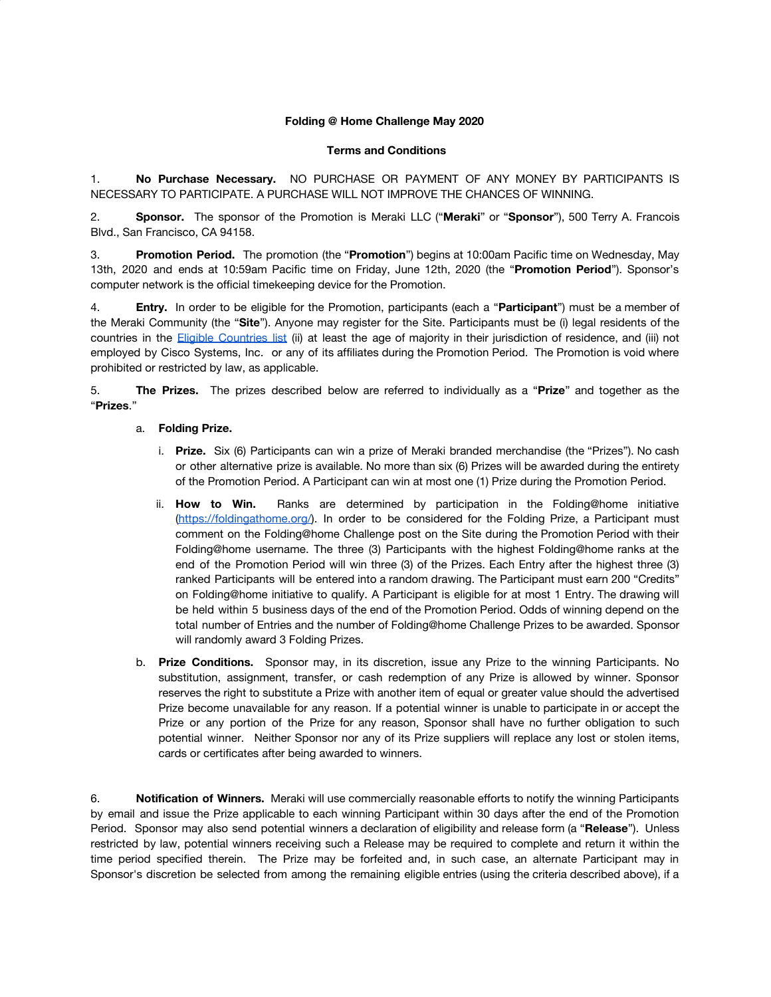## **Folding @ Home Challenge May 2020**

## **Terms and Conditions**

1. **No Purchase Necessary.** NO PURCHASE OR PAYMENT OF ANY MONEY BY PARTICIPANTS IS NECESSARY TO PARTICIPATE. A PURCHASE WILL NOT IMPROVE THE CHANCES OF WINNING.

2. **Sponsor.** The sponsor of the Promotion is Meraki LLC ("**Meraki**" or "**Sponsor**"), 500 Terry A. Francois Blvd., San Francisco, CA 94158.

3. **Promotion Period.** The promotion (the "**Promotion**") begins at 10:00am Pacific time on Wednesday, May 13th, 2020 and ends at 10:59am Pacific time on Friday, June 12th, 2020 (the "**Promotion Period**"). Sponsor's computer network is the official timekeeping device for the Promotion.

4. **Entry.** In order to be eligible for the Promotion, participants (each a "**Participant**") must be a member of the Meraki Community (the "**Site**"). Anyone may register for the Site. Participants must be (i) legal residents of the countries in the **Eligible [Countries](https://community.meraki.com/t5/Terms-Conditions/Eligible-Countries-List/ba-p/5069/jump-to/first-unread-message) list** (ii) at least the age of majority in their jurisdiction of residence, and (iii) not employed by Cisco Systems, Inc. or any of its affiliates during the Promotion Period. The Promotion is void where prohibited or restricted by law, as applicable.

5. **The Prizes.** The prizes described below are referred to individually as a "**Prize**" and together as the "**Prizes**."

## a. **Folding Prize.**

- i. **Prize.** Six (6) Participants can win a prize of Meraki branded merchandise (the "Prizes"). No cash or other alternative prize is available. No more than six (6) Prizes will be awarded during the entirety of the Promotion Period. A Participant can win at most one (1) Prize during the Promotion Period.
- ii. **How to Win.** Ranks are determined by participation in the Folding@home initiative ([https://foldingathome.org/\)](https://foldingathome.org/). In order to be considered for the Folding Prize, a Participant must comment on the Folding@home Challenge post on the Site during the Promotion Period with their Folding@home username. The three (3) Participants with the highest Folding@home ranks at the end of the Promotion Period will win three (3) of the Prizes. Each Entry after the highest three (3) ranked Participants will be entered into a random drawing. The Participant must earn 200 "Credits" on Folding@home initiative to qualify. A Participant is eligible for at most 1 Entry. The drawing will be held within 5 business days of the end of the Promotion Period. Odds of winning depend on the total number of Entries and the number of Folding@home Challenge Prizes to be awarded. Sponsor will randomly award 3 Folding Prizes.
- b. **Prize Conditions.** Sponsor may, in its discretion, issue any Prize to the winning Participants. No substitution, assignment, transfer, or cash redemption of any Prize is allowed by winner. Sponsor reserves the right to substitute a Prize with another item of equal or greater value should the advertised Prize become unavailable for any reason. If a potential winner is unable to participate in or accept the Prize or any portion of the Prize for any reason, Sponsor shall have no further obligation to such potential winner. Neither Sponsor nor any of its Prize suppliers will replace any lost or stolen items, cards or certificates after being awarded to winners.

6. **Notification of Winners.** Meraki will use commercially reasonable efforts to notify the winning Participants by email and issue the Prize applicable to each winning Participant within 30 days after the end of the Promotion Period. Sponsor may also send potential winners a declaration of eligibility and release form (a "**Release**"). Unless restricted by law, potential winners receiving such a Release may be required to complete and return it within the time period specified therein. The Prize may be forfeited and, in such case, an alternate Participant may in Sponsor's discretion be selected from among the remaining eligible entries (using the criteria described above), if a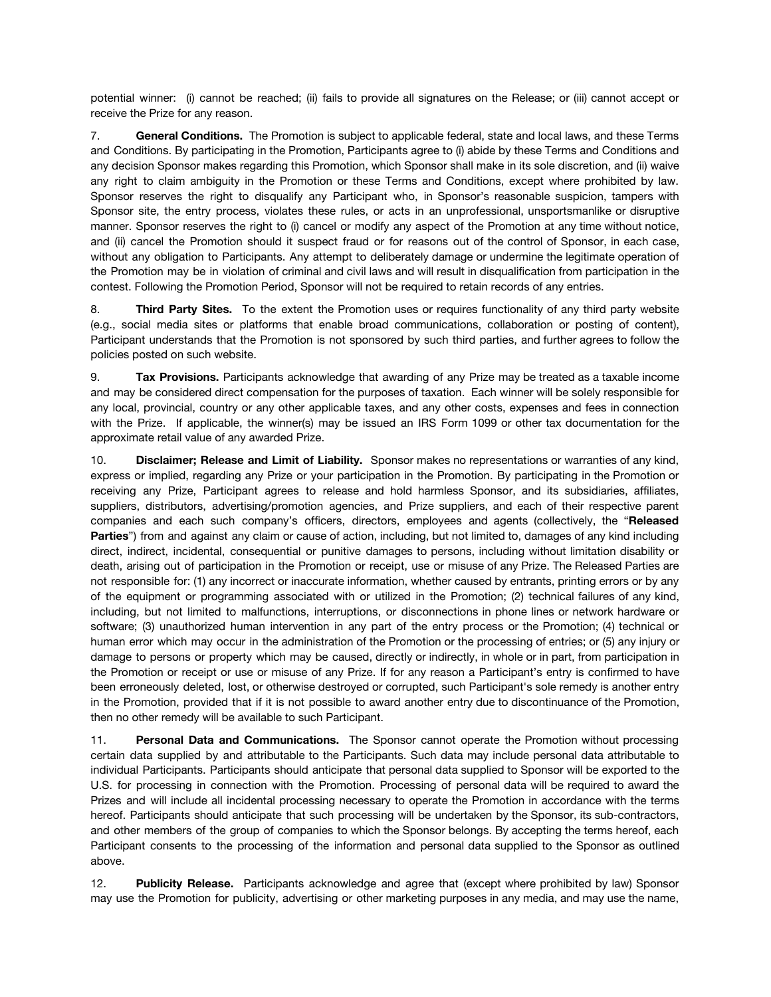potential winner: (i) cannot be reached; (ii) fails to provide all signatures on the Release; or (iii) cannot accept or receive the Prize for any reason.

7. **General Conditions.** The Promotion is subject to applicable federal, state and local laws, and these Terms and Conditions. By participating in the Promotion, Participants agree to (i) abide by these Terms and Conditions and any decision Sponsor makes regarding this Promotion, which Sponsor shall make in its sole discretion, and (ii) waive any right to claim ambiguity in the Promotion or these Terms and Conditions, except where prohibited by law. Sponsor reserves the right to disqualify any Participant who, in Sponsor's reasonable suspicion, tampers with Sponsor site, the entry process, violates these rules, or acts in an unprofessional, unsportsmanlike or disruptive manner. Sponsor reserves the right to (i) cancel or modify any aspect of the Promotion at any time without notice, and (ii) cancel the Promotion should it suspect fraud or for reasons out of the control of Sponsor, in each case, without any obligation to Participants. Any attempt to deliberately damage or undermine the legitimate operation of the Promotion may be in violation of criminal and civil laws and will result in disqualification from participation in the contest. Following the Promotion Period, Sponsor will not be required to retain records of any entries.

8. **Third Party Sites.** To the extent the Promotion uses or requires functionality of any third party website (e.g., social media sites or platforms that enable broad communications, collaboration or posting of content), Participant understands that the Promotion is not sponsored by such third parties, and further agrees to follow the policies posted on such website.

9. **Tax Provisions.** Participants acknowledge that awarding of any Prize may be treated as a taxable income and may be considered direct compensation for the purposes of taxation. Each winner will be solely responsible for any local, provincial, country or any other applicable taxes, and any other costs, expenses and fees in connection with the Prize. If applicable, the winner(s) may be issued an IRS Form 1099 or other tax documentation for the approximate retail value of any awarded Prize.

10. **Disclaimer; Release and Limit of Liability.** Sponsor makes no representations or warranties of any kind, express or implied, regarding any Prize or your participation in the Promotion. By participating in the Promotion or receiving any Prize, Participant agrees to release and hold harmless Sponsor, and its subsidiaries, affiliates, suppliers, distributors, advertising/promotion agencies, and Prize suppliers, and each of their respective parent companies and each such company's officers, directors, employees and agents (collectively, the "**Released Parties**") from and against any claim or cause of action, including, but not limited to, damages of any kind including direct, indirect, incidental, consequential or punitive damages to persons, including without limitation disability or death, arising out of participation in the Promotion or receipt, use or misuse of any Prize. The Released Parties are not responsible for: (1) any incorrect or inaccurate information, whether caused by entrants, printing errors or by any of the equipment or programming associated with or utilized in the Promotion; (2) technical failures of any kind, including, but not limited to malfunctions, interruptions, or disconnections in phone lines or network hardware or software; (3) unauthorized human intervention in any part of the entry process or the Promotion; (4) technical or human error which may occur in the administration of the Promotion or the processing of entries; or (5) any injury or damage to persons or property which may be caused, directly or indirectly, in whole or in part, from participation in the Promotion or receipt or use or misuse of any Prize. If for any reason a Participant's entry is confirmed to have been erroneously deleted, lost, or otherwise destroyed or corrupted, such Participant's sole remedy is another entry in the Promotion, provided that if it is not possible to award another entry due to discontinuance of the Promotion, then no other remedy will be available to such Participant.

11. **Personal Data and Communications.** The Sponsor cannot operate the Promotion without processing certain data supplied by and attributable to the Participants. Such data may include personal data attributable to individual Participants. Participants should anticipate that personal data supplied to Sponsor will be exported to the U.S. for processing in connection with the Promotion. Processing of personal data will be required to award the Prizes and will include all incidental processing necessary to operate the Promotion in accordance with the terms hereof. Participants should anticipate that such processing will be undertaken by the Sponsor, its sub-contractors, and other members of the group of companies to which the Sponsor belongs. By accepting the terms hereof, each Participant consents to the processing of the information and personal data supplied to the Sponsor as outlined above.

12. **Publicity Release.** Participants acknowledge and agree that (except where prohibited by law) Sponsor may use the Promotion for publicity, advertising or other marketing purposes in any media, and may use the name,